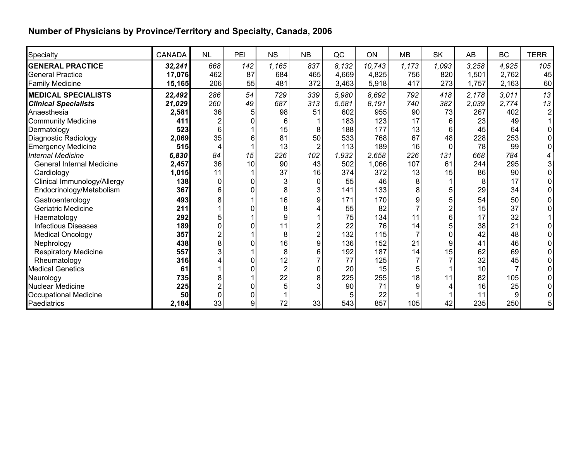## **Number of Physicians by Province/Territory and Specialty, Canada, 2006**

| Specialty                        | <b>CANADA</b> | <b>NL</b>      | PEI | <b>NS</b>      | <b>NB</b>      | QC    | <b>ON</b> | <b>MB</b> | <b>SK</b> | AB    | <b>BC</b> | <b>TERR</b>    |
|----------------------------------|---------------|----------------|-----|----------------|----------------|-------|-----------|-----------|-----------|-------|-----------|----------------|
| <b>GENERAL PRACTICE</b>          | 32,241        | 668            | 142 | 1,165          | 837            | 8,132 | 10,743    | 1,173     | 1,093     | 3,258 | 4,925     | 105            |
| <b>General Practice</b>          | 17,076        | 462            | 87  | 684            | 465            | 4,669 | 4,825     | 756       | 820       | 1,501 | 2,762     | 45             |
| <b>Family Medicine</b>           | 15,165        | 206            | 55  | 481            | 372            | 3,463 | 5,918     | 417       | 273       | 1,757 | 2,163     | 60             |
| <b>MEDICAL SPECIALISTS</b>       | 22,492        | 286            | 54  | 729            | 339            | 5,980 | 8,692     | 792       | 418       | 2,178 | 3,011     | 13             |
| <b>Clinical Specialists</b>      | 21,029        | 260            | 49  | 687            | 313            | 5,581 | 8.191     | 740       | 382       | 2,039 | 2,774     | 13             |
| Anaesthesia                      | 2,581         | 36             |     | 98             | 51             | 602   | 955       | 90        | 73        | 267   | 402       | $\overline{2}$ |
| <b>Community Medicine</b>        | 411           |                |     | 6              |                | 183   | 123       | 17        |           | 23    | 49        |                |
| Dermatology                      | 523           | 6              |     | 15             | 8              | 188   | 177       | 13        | 6         | 45    | 64        |                |
| Diagnostic Radiology             | 2,069         | 35             |     | 81             | 50             | 533   | 768       | 67        | 48        | 228   | 253       |                |
| <b>Emergency Medicine</b>        | 515           |                |     | 13             |                | 113   | 189       | 16        |           | 78    | 99        |                |
| <b>Internal Medicine</b>         | 6,830         | 84             | 15  | 226            | 102            | 1,932 | 2.658     | 226       | 131       | 668   | 784       | 4              |
| <b>General Internal Medicine</b> | 2,457         | 36             | 10  | 90             | 43             | 502   | 1,066     | 107       | 61        | 244   | 295       | 3              |
| Cardiology                       | 1,015         | 11             |     | 37             | 16             | 374   | 372       | 13        | 15        | 86    | 90        |                |
| Clinical Immunology/Allergy      | 138           | <sup>0</sup>   |     | 3              | $\Omega$       | 55    | 46        | 8         |           | 8     | 17        |                |
| Endocrinology/Metabolism         | 367           | 6              |     | 8              | 3              | 141   | 133       | 8         |           | 29    | 34        |                |
| Gastroenterology                 | 493           |                |     | 16             | 9              | 171   | 170       | 9         |           | 54    | 50        |                |
| Geriatric Medicine               | 211           |                |     | 8              |                | 55    | 82        |           |           | 15    | 37        |                |
| Haematology                      | 292           |                |     | 9              |                | 75    | 134       | 11        |           | 17    | 32        |                |
| <b>Infectious Diseases</b>       | 189           | 0              |     | 11             |                | 22    | 76        | 14        |           | 38    | 21        |                |
| <b>Medical Oncology</b>          | 357           |                |     | 8              | $\overline{2}$ | 132   | 115       |           |           | 42    | 48        |                |
| Nephrology                       | 438           | 8              |     | 16             | 9              | 136   | 152       | 21        | 9         | 41    | 46        |                |
| <b>Respiratory Medicine</b>      | 557           | 3              |     | 8              | 6              | 192   | 187       | 14        | 15        | 62    | 69        |                |
| Rheumatology                     | 316           |                |     | 12             |                | 77    | 125       |           |           | 32    | 45        |                |
| <b>Medical Genetics</b>          | 61            |                |     | $\overline{2}$ | 0              | 20    | 15        | 5         |           | 10    |           |                |
| Neurology                        | 735           |                |     | 22             | 8              | 225   | 255       | 18        | 11        | 82    | 105       |                |
| <b>Nuclear Medicine</b>          | 225           | $\overline{2}$ |     | 5              | 3              | 90    | 71        | 9         |           | 16    | 25        |                |
| <b>Occupational Medicine</b>     | 50            | 0              |     |                |                |       | 22        |           |           | 11    | 9         |                |
| Paediatrics                      | 2,184         | 33             |     | 72             | 33             | 543   | 857       | 105       | 42        | 235   | 250       |                |